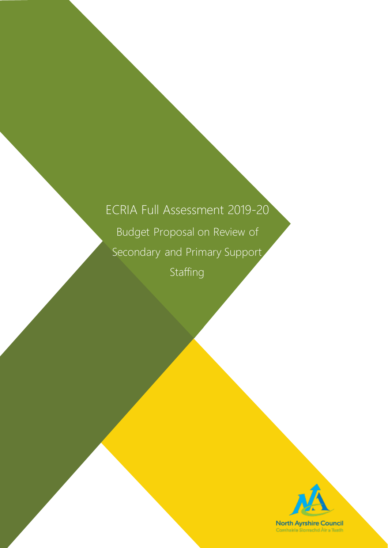# ECRIA Full Assessment 2019-20 Budget Proposal on Review of Secondary and Primary Support Staffing

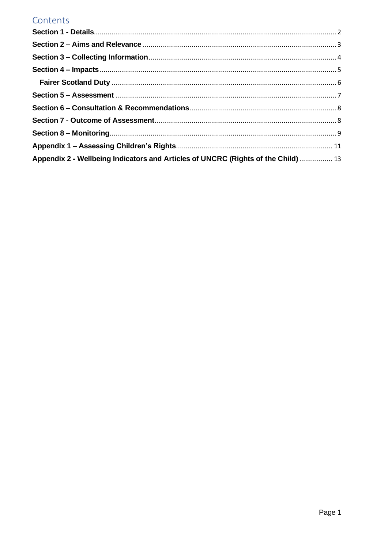### Contents

| Appendix 2 - Wellbeing Indicators and Articles of UNCRC (Rights of the Child)  13 |  |
|-----------------------------------------------------------------------------------|--|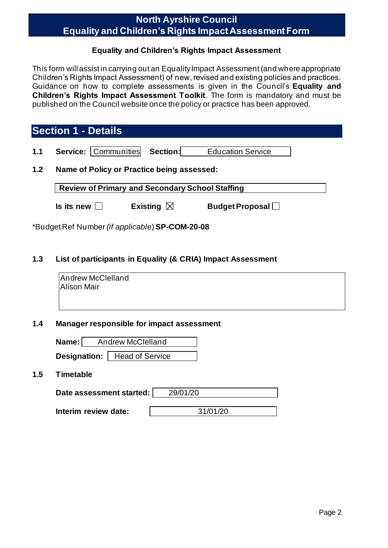### **North Ayrshire Council Equality and Children's Rights Impact Assessment Form**

### **Equality and Children's Rights Impact Assessment**

This form will assist in carrying out an Equality Impact Assessment (and where appropriate Children's Rights Impact Assessment) of new, revised and existing policies and practices. Guidance on how to complete assessments is given in the Council's **Equality and Children's Rights Impact Assessment Toolkit**. The form is mandatory and must be published on the Council website once the policy or practice has been approved.

### <span id="page-2-0"></span>**Section 1 - Details**

| 1.1 |  | <b>Service: Communities Section:</b> |  | <b>Education Service</b> |
|-----|--|--------------------------------------|--|--------------------------|
|-----|--|--------------------------------------|--|--------------------------|

### **1.2 Name of Policy or Practice being assessed:**

**Review of Primary and Secondary School Staffing**

| Is its new $\Box$ | Existing $\boxtimes$ | <b>Budget Proposal</b> |
|-------------------|----------------------|------------------------|
|-------------------|----------------------|------------------------|

\*Budget Ref Number *(if applicabl*e) **SP-COM-20-08**

### **1.3 List of participants in Equality (& CRIA) Impact Assessment**

Andrew McClelland Alison Mair

### **1.4 Manager responsible for impact assessment**

| Name: $ $ | <b>Andrew McClelland</b> |                                       |  |
|-----------|--------------------------|---------------------------------------|--|
|           |                          | <b>Designation:</b>   Head of Service |  |

#### **1.5 Timetable**

| Date assessment started: | 29/01/20 |
|--------------------------|----------|
|                          |          |

**Interim review date:**  $\vert$  31/01/20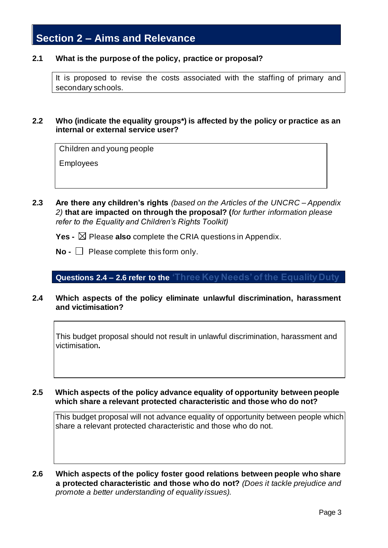# <span id="page-3-0"></span>**Section 2 – Aims and Relevance**

### **2.1 What is the purpose of the policy, practice or proposal?**

It is proposed to revise the costs associated with the staffing of primary and secondary schools.

### **2.2 Who (indicate the equality groups\*) is affected by the policy or practice as an internal or external service user?**

Children and young people

Employees

**2.3 Are there any children's rights** *(based on the Articles of the UNCRC – Appendix 2)* **that are impacted on through the proposal? (***for further information please refer to the Equality and Children's Rights Toolkit)*

**Yes -**  $\boxtimes$  Please **also** complete the CRIA questions in Appendix.

**No -** □ Please complete this form only.

### **Questions 2.4 – 2.6 refer to the 'Three Key Needs' of the Equality Duty**

**2.4 Which aspects of the policy eliminate unlawful discrimination, harassment and victimisation?**

This budget proposal should not result in unlawful discrimination, harassment and victimisation**.**

### **2.5 Which aspects of the policy advance equality of opportunity between people which share a relevant protected characteristic and those who do not?**

This budget proposal will not advance equality of opportunity between people which share a relevant protected characteristic and those who do not.

**2.6 Which aspects of the policy foster good relations between people who share a protected characteristic and those who do not?** *(Does it tackle prejudice and promote a better understanding of equality issues).*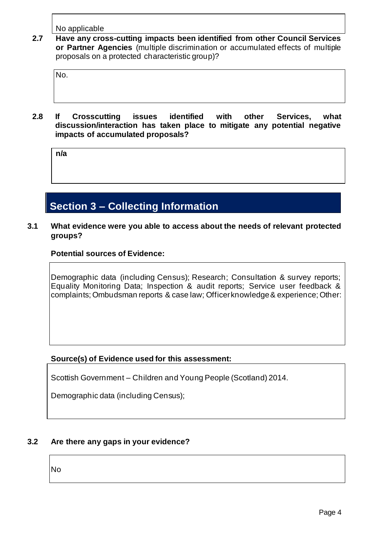No applicable

**2.7 Have any cross-cutting impacts been identified from other Council Services or Partner Agencies** (multiple discrimination or accumulated effects of multiple proposals on a protected characteristic group)?

No.

**2.8 If Crosscutting issues identified with other Services, what discussion/interaction has taken place to mitigate any potential negative impacts of accumulated proposals?**

**n/a**

# <span id="page-4-0"></span>**Section 3 – Collecting Information**

**3.1 What evidence were you able to access about the needs of relevant protected groups?**

### **Potential sources of Evidence:**

Demographic data (including Census); Research; Consultation & survey reports; Equality Monitoring Data; Inspection & audit reports; Service user feedback & complaints; Ombudsman reports & case law; Officer knowledge & experience; Other:

### **Source(s) of Evidence used for this assessment:**

Scottish Government – Children and Young People (Scotland) 2014.

Demographic data (including Census);

### **3.2 Are there any gaps in your evidence?**

No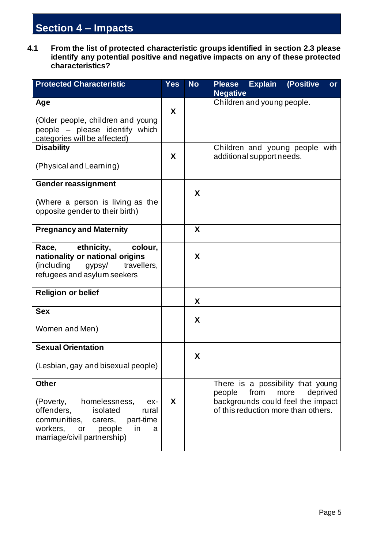# <span id="page-5-0"></span>**Section 4 – Impacts**

**4.1 From the list of protected characteristic groups identified in section 2.3 please identify any potential positive and negative impacts on any of these protected characteristics?**

| <b>Protected Characteristic</b>                                                                                                                                                                    | <b>Yes</b> | <b>No</b> | <b>Explain</b><br>(Positive<br><b>Please</b><br><b>or</b><br><b>Negative</b>                                                                        |
|----------------------------------------------------------------------------------------------------------------------------------------------------------------------------------------------------|------------|-----------|-----------------------------------------------------------------------------------------------------------------------------------------------------|
| Age                                                                                                                                                                                                |            |           | Children and young people.                                                                                                                          |
| (Older people, children and young<br>people – please identify which<br>categories will be affected)                                                                                                | X          |           |                                                                                                                                                     |
| <b>Disability</b>                                                                                                                                                                                  |            |           | Children and young people with                                                                                                                      |
| (Physical and Learning)                                                                                                                                                                            | X          |           | additional support needs.                                                                                                                           |
| <b>Gender reassignment</b>                                                                                                                                                                         |            |           |                                                                                                                                                     |
| (Where a person is living as the<br>opposite gender to their birth)                                                                                                                                |            | X         |                                                                                                                                                     |
| <b>Pregnancy and Maternity</b>                                                                                                                                                                     |            | X         |                                                                                                                                                     |
| ethnicity,<br>Race,<br>colour,<br>nationality or national origins<br>(including<br>travellers.<br>gypsy/<br>refugees and asylum seekers                                                            |            | X         |                                                                                                                                                     |
| <b>Religion or belief</b>                                                                                                                                                                          |            | X         |                                                                                                                                                     |
| <b>Sex</b><br>Women and Men)                                                                                                                                                                       |            | X         |                                                                                                                                                     |
| <b>Sexual Orientation</b>                                                                                                                                                                          |            |           |                                                                                                                                                     |
| (Lesbian, gay and bisexual people)                                                                                                                                                                 |            | X         |                                                                                                                                                     |
| <b>Other</b><br>homelessness,<br>(Poverty,<br>ex-<br>offenders,<br>isolated<br>rural<br>communities,<br>part-time<br>carers,<br>workers,<br>in<br>or<br>people<br>a<br>marriage/civil partnership) | X          |           | There is a possibility that young<br>from<br>deprived<br>more<br>people<br>backgrounds could feel the impact<br>of this reduction more than others. |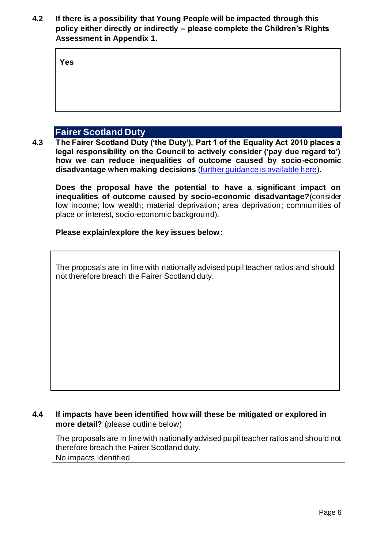**4.2 If there is a possibility that Young People will be impacted through this policy either directly or indirectly – please complete the Children's Rights Assessment in Appendix 1.**

**Yes**

### **Fairer Scotland Duty**

<span id="page-6-0"></span>**4.3 The Fairer Scotland Duty ('the Duty'), Part 1 of the Equality Act 2010 places a legal responsibility on the Council to actively consider ('pay due regard to') how we can reduce inequalities of outcome caused by socio-economic disadvantage when making decisions** [\(further guidance is available here\)](file://///Nayrhqvsd1/public/CEPUBLIC/08%20Policy/Andrew%20Hale/Equality%20Issues/Equality%20Impact%20Assessments/Guidance/Assessment%20Tools/CRIA/FS%20Duty/ECRIA%20and%20FSD%20Full%20Assessment%20form%20draft%20160119.docx)**.**

**Does the proposal have the potential to have a significant impact on inequalities of outcome caused by socio-economic disadvantage?**(consider low income; low wealth; material deprivation; area deprivation; communities of place or interest, socio-economic background).

### **Please explain/explore the key issues below:**

The proposals are in line with nationally advised pupil teacher ratios and should not therefore breach the Fairer Scotland duty.

### **4.4 If impacts have been identified how will these be mitigated or explored in more detail?** (please outline below)

The proposals are in line with nationally advised pupil teacher ratios and should not therefore breach the Fairer Scotland duty.

No impacts identified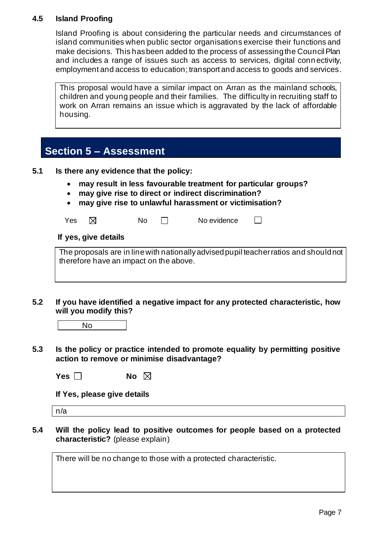### **4.5 Island Proofing**

Island Proofing is about considering the particular needs and circumstances of island communities when public sector organisations exercise their functions and make decisions. This has been added to the process of assessing the Council Plan and includes a range of issues such as access to services, digital conn ectivity, employment and access to education; transport and access to goods and services.

This proposal would have a similar impact on Arran as the mainland schools, children and young people and their families. The difficulty in recruiting staff to work on Arran remains an issue which is aggravated by the lack of affordable housing.

### <span id="page-7-0"></span>**Section 5 – Assessment**

- **5.1 Is there any evidence that the policy:**
	- **may result in less favourable treatment for particular groups?**
	- **may give rise to direct or indirect discrimination?**
	- **may give rise to unlawful harassment or victimisation?**

| Yes $\boxtimes$ | <b>No</b> | No evidence |  |
|-----------------|-----------|-------------|--|
|-----------------|-----------|-------------|--|

### **If yes, give details**

The proposals are in line with nationally advised pupil teacher ratios and should not therefore have an impact on the above.

**5.2 If you have identified a negative impact for any protected characteristic, how will you modify this?**

**5.3 Is the policy or practice intended to promote equality by permitting positive action to remove or minimise disadvantage?**

| Yes $\square$ | No $\boxtimes$ |  |
|---------------|----------------|--|
|---------------|----------------|--|

**If Yes, please give details** 

n/a

**5.4 Will the policy lead to positive outcomes for people based on a protected characteristic?** (please explain)

There will be no change to those with a protected characteristic.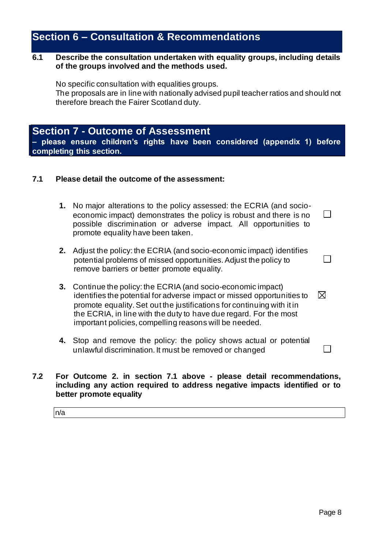### <span id="page-8-0"></span>**Section 6 – Consultation & Recommendations**

### **6.1 Describe the consultation undertaken with equality groups, including details of the groups involved and the methods used.**

No specific consultation with equalities groups. The proposals are in line with nationally advised pupil teacher ratios and should not therefore breach the Fairer Scotland duty.

### <span id="page-8-1"></span>**Section 7 - Outcome of Assessment**

**– please ensure children's rights have been considered (appendix 1) before completing this section.**

### **7.1 Please detail the outcome of the assessment:**

- **1.** No major alterations to the policy assessed: the ECRIA (and socioeconomic impact) demonstrates the policy is robust and there is no possible discrimination or adverse impact. All opportunities to promote equality have been taken.
- **2.** Adjust the policy: the ECRIA (and socio-economic impact) identifies potential problems of missed opportunities. Adjust the policy to remove barriers or better promote equality.
- **3.** Continue the policy: the ECRIA (and socio-economic impact)  $\boxtimes$ identifies the potential for adverse impact or missed opportunities to promote equality. Set out the justifications for continuing with it in the ECRIA, in line with the duty to have due regard. For the most important policies, compelling reasons will be needed.
- **4.** Stop and remove the policy: the policy shows actual or potential unlawful discrimination. It must be removed or changed

#### **7.2 For Outcome 2. in section 7.1 above - please detail recommendations, including any action required to address negative impacts identified or to better promote equality**

n/a

 $\Box$ 

 $\Box$ 

 $\Box$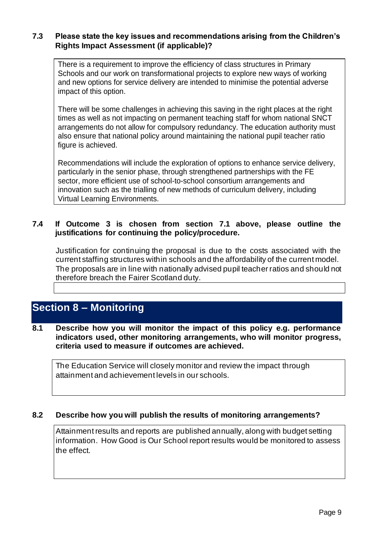### **7.3 Please state the key issues and recommendations arising from the Children's Rights Impact Assessment (if applicable)?**

There is a requirement to improve the efficiency of class structures in Primary Schools and our work on transformational projects to explore new ways of working and new options for service delivery are intended to minimise the potential adverse impact of this option.

There will be some challenges in achieving this saving in the right places at the right times as well as not impacting on permanent teaching staff for whom national SNCT arrangements do not allow for compulsory redundancy. The education authority must also ensure that national policy around maintaining the national pupil teacher ratio figure is achieved.

Recommendations will include the exploration of options to enhance service delivery, particularly in the senior phase, through strengthened partnerships with the FE sector, more efficient use of school-to-school consortium arrangements and innovation such as the trialling of new methods of curriculum delivery, including Virtual Learning Environments.

### **7.4 If Outcome 3 is chosen from section 7.1 above, please outline the justifications for continuing the policy/procedure.**

Justification for continuing the proposal is due to the costs associated with the current staffing structures within schools and the affordability of the current model. The proposals are in line with nationally advised pupil teacher ratios and should not therefore breach the Fairer Scotland duty.

### <span id="page-9-0"></span>**Section 8 – Monitoring**

### **8.1 Describe how you will monitor the impact of this policy e.g. performance indicators used, other monitoring arrangements, who will monitor progress, criteria used to measure if outcomes are achieved.**

The Education Service will closely monitor and review the impact through attainment and achievement levels in our schools.

### **8.2 Describe how you will publish the results of monitoring arrangements?**

Attainment results and reports are published annually, along with budget setting information. How Good is Our School report results would be monitored to assess the effect.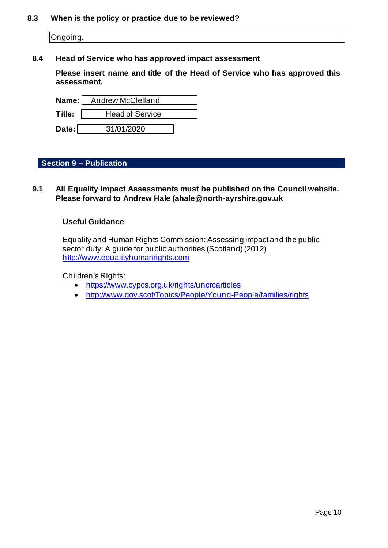#### **8.3 When is the policy or practice due to be reviewed?**

Ongoing.

### **8.4 Head of Service who has approved impact assessment**

**Please insert name and title of the Head of Service who has approved this assessment.**

|        | Name: Andrew McClelland |
|--------|-------------------------|
| Title: | <b>Head of Service</b>  |
| Date:  | 31/01/2020              |

### **Section 9 – Publication**

**9.1 All Equality Impact Assessments must be published on the Council website. Please forward to Andrew Hale (ahale@north-ayrshire.gov.uk**

### **Useful Guidance**

Equality and Human Rights Commission: Assessing impact and the public sector duty: A guide for public authorities (Scotland) (2012) [http://www.equalityhumanrights.com](http://www.equalityhumanrights.com/about-us/devolved-authorities/commission-scotland/scotland-guidance)

Children's Rights:

- <https://www.cypcs.org.uk/rights/uncrcarticles>
- <http://www.gov.scot/Topics/People/Young-People/families/rights>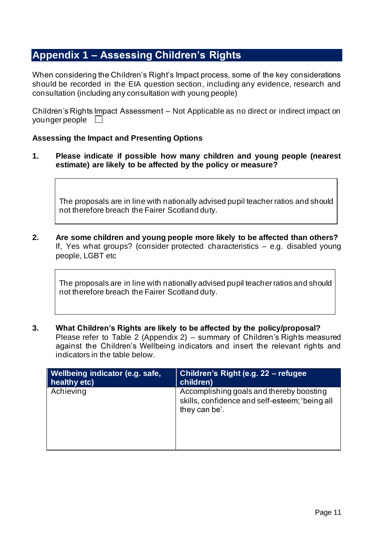### <span id="page-11-0"></span>**Appendix 1 – Assessing Children's Rights**

When considering the Children's Right's Impact process, some of the key considerations should be recorded in the EIA question section, including any evidence, research and consultation (including any consultation with young people)

Children's Rights Impact Assessment – Not Applicable as no direct or indirect impact on younger people  $\Box$ 

### **Assessing the Impact and Presenting Options**

**1. Please indicate if possible how many children and young people (nearest estimate) are likely to be affected by the policy or measure?**

The proposals are in line with nationally advised pupil teacher ratios and should not therefore breach the Fairer Scotland duty.

**2. Are some children and young people more likely to be affected than others?** If, Yes what groups? (consider protected characteristics – e.g. disabled young people, LGBT etc

The proposals are in line with nationally advised pupil teacher ratios and should not therefore breach the Fairer Scotland duty.

**3. What Children's Rights are likely to be affected by the policy/proposal?** Please refer to Table 2 (Appendix 2) – summary of Children's Rights measured against the Children's Wellbeing indicators and insert the relevant rights and indicators in the table below.

| Wellbeing indicator (e.g. safe, | Children's Right (e.g. 22 - refugee                                                                         |
|---------------------------------|-------------------------------------------------------------------------------------------------------------|
| healthy etc)                    | children)                                                                                                   |
| Achieving                       | Accomplishing goals and thereby boosting<br>skills, confidence and self-esteem; 'being all<br>they can be'. |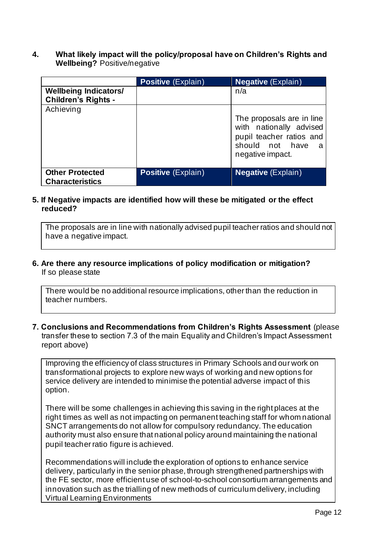**4. What likely impact will the policy/proposal have on Children's Rights and Wellbeing?** Positive/negative

|                                                            | <b>Positive (Explain)</b> | <b>Negative</b> (Explain)                                                                                                      |
|------------------------------------------------------------|---------------------------|--------------------------------------------------------------------------------------------------------------------------------|
| <b>Wellbeing Indicators/</b><br><b>Children's Rights -</b> |                           | n/a                                                                                                                            |
| Achieving                                                  |                           | The proposals are in line<br>with nationally advised<br>pupil teacher ratios and<br>should not have<br>- a<br>negative impact. |
| <b>Other Protected</b><br><b>Characteristics</b>           | <b>Positive (Explain)</b> | <b>Negative</b> (Explain)                                                                                                      |

### **5. If Negative impacts are identified how will these be mitigated or the effect reduced?**

The proposals are in line with nationally advised pupil teacher ratios and should not have a negative impact.

### **6. Are there any resource implications of policy modification or mitigation?** If so please state

There would be no additional resource implications, other than the reduction in teacher numbers.

### **7. Conclusions and Recommendations from Children's Rights Assessment** (please transfer these to section 7.3 of the main Equality and Children's Impact Assessment report above)

Improving the efficiency of class structures in Primary Schools and our work on transformational projects to explore new ways of working and new options for service delivery are intended to minimise the potential adverse impact of this option.

There will be some challenges in achieving this saving in the right places at the right times as well as not impacting on permanent teaching staff for whom national SNCT arrangements do not allow for compulsory redundancy. The education authority must also ensure that national policy around maintaining the national pupil teacher ratio figure is achieved.

Recommendations will include the exploration of options to enhance service delivery, particularly in the senior phase, through strengthened partnerships with the FE sector, more efficient use of school-to-school consortium arrangements and innovation such as the trialling of new methods of curriculum delivery, including Virtual Learning Environments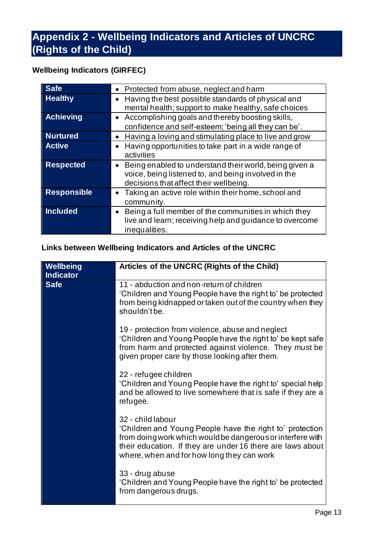## <span id="page-13-0"></span>**Appendix 2 - Wellbeing Indicators and Articles of UNCRC (Rights of the Child)**

### **Wellbeing Indicators (GIRFEC)**

| <b>Safe</b>        | • Protected from abuse, neglect and harm                                                                                                                |
|--------------------|---------------------------------------------------------------------------------------------------------------------------------------------------------|
| <b>Healthy</b>     | Having the best possible standards of physical and<br>mental health; support to make healthy, safe choices                                              |
| <b>Achieving</b>   | • Accomplishing goals and thereby boosting skills,<br>confidence and self-esteem; 'being all they can be'.                                              |
| <b>Nurtured</b>    | Having a loving and stimulating place to live and grow                                                                                                  |
| <b>Active</b>      | Having opportunities to take part in a wide range of<br>activities                                                                                      |
| <b>Respected</b>   | Being enabled to understand their world, being given a<br>voice, being listened to, and being involved in the<br>decisions that affect their wellbeing. |
| <b>Responsible</b> | Taking an active role within their home, school and<br>community.                                                                                       |
| <b>Included</b>    | Being a full member of the communities in which they<br>live and learn; receiving help and guidance to overcome<br>inequalities.                        |

### **Links between Wellbeing Indicators and Articles of the UNCRC**

| Wellbeing<br><b>Indicator</b> | Articles of the UNCRC (Rights of the Child)                                                                                                                                                                                                             |
|-------------------------------|---------------------------------------------------------------------------------------------------------------------------------------------------------------------------------------------------------------------------------------------------------|
| <b>Safe</b>                   | 11 - abduction and non-return of children<br>'Children and Young People have the right to' be protected<br>from being kidnapped or taken out of the country when they<br>shouldn't be.                                                                  |
|                               | 19 - protection from violence, abuse and neglect<br>'Children and Young People have the right to' be kept safe<br>from harm and protected against violence. They must be<br>given proper care by those looking after them.                              |
|                               | 22 - refugee children<br>'Children and Young People have the right to' special help<br>and be allowed to live somewhere that is safe if they are a<br>refugee.                                                                                          |
|                               | 32 - child labour<br>'Children and Young People have the right to' protection<br>from doing work which would be dangerous or interfere with<br>their education. If they are under 16 there are laws about<br>where, when and for how long they can work |
|                               | 33 - drug abuse<br>'Children and Young People have the right to' be protected<br>from dangerous drugs.                                                                                                                                                  |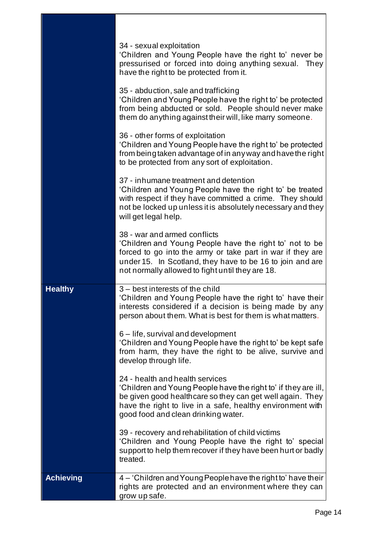|                  | 34 - sexual exploitation<br>'Children and Young People have the right to' never be<br>pressurised or forced into doing anything sexual. They<br>have the right to be protected from it.                                                                                |
|------------------|------------------------------------------------------------------------------------------------------------------------------------------------------------------------------------------------------------------------------------------------------------------------|
|                  | 35 - abduction, sale and trafficking<br>'Children and Young People have the right to' be protected<br>from being abducted or sold. People should never make<br>them do anything against their will, like marry someone.                                                |
|                  | 36 - other forms of exploitation<br>'Children and Young People have the right to' be protected<br>from being taken advantage of in any way and have the right<br>to be protected from any sort of exploitation.                                                        |
|                  | 37 - inhumane treatment and detention<br>'Children and Young People have the right to' be treated<br>with respect if they have committed a crime. They should<br>not be locked up unless it is absolutely necessary and they<br>will get legal help.                   |
|                  | 38 - war and armed conflicts<br>'Children and Young People have the right to' not to be<br>forced to go into the army or take part in war if they are<br>under 15. In Scotland, they have to be 16 to join and are<br>not normally allowed to fight until they are 18. |
| <b>Healthy</b>   | 3 – best interests of the child<br>'Children and Young People have the right to' have their<br>interests considered if a decision is being made by any<br>person about them. What is best for them is what matters                                                     |
|                  | 6 – life, survival and development<br>'Children and Young People have the right to' be kept safe<br>from harm, they have the right to be alive, survive and<br>develop through life.                                                                                   |
|                  | 24 - health and health services<br>'Children and Young People have the right to' if they are ill,<br>be given good healthcare so they can get well again. They<br>have the right to live in a safe, healthy environment with<br>good food and clean drinking water.    |
|                  | 39 - recovery and rehabilitation of child victims<br>'Children and Young People have the right to' special<br>support to help them recover if they have been hurt or badly<br>treated.                                                                                 |
| <b>Achieving</b> | 4 – 'Children and Young People have the right to' have their<br>rights are protected and an environment where they can<br>grow up safe.                                                                                                                                |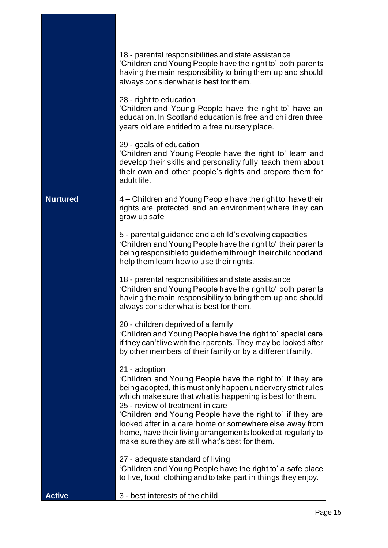|                 | 18 - parental responsibilities and state assistance<br>'Children and Young People have the right to' both parents<br>having the main responsibility to bring them up and should<br>always consider what is best for them.<br>28 - right to education                                                                                                                                                                                                                               |
|-----------------|------------------------------------------------------------------------------------------------------------------------------------------------------------------------------------------------------------------------------------------------------------------------------------------------------------------------------------------------------------------------------------------------------------------------------------------------------------------------------------|
|                 | 'Children and Young People have the right to' have an<br>education. In Scotland education is free and children three<br>years old are entitled to a free nursery place.                                                                                                                                                                                                                                                                                                            |
|                 | 29 - goals of education<br>'Children and Young People have the right to' learn and<br>develop their skills and personality fully, teach them about<br>their own and other people's rights and prepare them for<br>adult life.                                                                                                                                                                                                                                                      |
| <b>Nurtured</b> | 4 – Children and Young People have the right to' have their<br>rights are protected and an environment where they can<br>grow up safe                                                                                                                                                                                                                                                                                                                                              |
|                 | 5 - parental guidance and a child's evolving capacities<br>'Children and Young People have the right to' their parents<br>being responsible to guide them through their childhood and<br>help them learn how to use their rights.                                                                                                                                                                                                                                                  |
|                 | 18 - parental responsibilities and state assistance<br>'Children and Young People have the right to' both parents<br>having the main responsibility to bring them up and should<br>always consider what is best for them.                                                                                                                                                                                                                                                          |
|                 | 20 - children deprived of a family<br>'Children and Young People have the right to' special care<br>if they can't live with their parents. They may be looked after<br>by other members of their family or by a different family.                                                                                                                                                                                                                                                  |
|                 | 21 - adoption<br>'Children and Young People have the right to' if they are<br>being adopted, this must only happen undervery strict rules<br>which make sure that what is happening is best for them.<br>25 - review of treatment in care<br>'Children and Young People have the right to' if they are<br>looked after in a care home or somewhere else away from<br>home, have their living arrangements looked at regularly to<br>make sure they are still what's best for them. |
|                 | 27 - adequate standard of living<br>'Children and Young People have the right to' a safe place<br>to live, food, clothing and to take part in things they enjoy.                                                                                                                                                                                                                                                                                                                   |
| <b>Active</b>   | 3 - best interests of the child                                                                                                                                                                                                                                                                                                                                                                                                                                                    |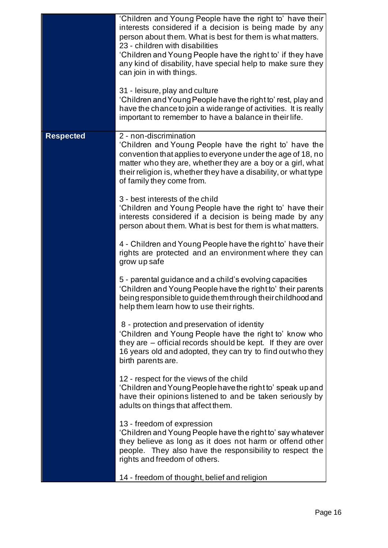|                  | 'Children and Young People have the right to' have their<br>interests considered if a decision is being made by any<br>person about them. What is best for them is what matters.<br>23 - children with disabilities<br>'Children and Young People have the right to' if they have<br>any kind of disability, have special help to make sure they<br>can join in with things.<br>31 - leisure, play and culture |
|------------------|----------------------------------------------------------------------------------------------------------------------------------------------------------------------------------------------------------------------------------------------------------------------------------------------------------------------------------------------------------------------------------------------------------------|
|                  | 'Children and Young People have the right to' rest, play and<br>have the chance to join a wide range of activities. It is really<br>important to remember to have a balance in their life.                                                                                                                                                                                                                     |
| <b>Respected</b> | 2 - non-discrimination<br>'Children and Young People have the right to' have the<br>convention that applies to everyone under the age of 18, no<br>matter who they are, whether they are a boy or a girl, what<br>their religion is, whether they have a disability, or what type<br>of family they come from.                                                                                                 |
|                  | 3 - best interests of the child<br>'Children and Young People have the right to' have their<br>interests considered if a decision is being made by any<br>person about them. What is best for them is what matters.                                                                                                                                                                                            |
|                  | 4 - Children and Young People have the right to' have their<br>rights are protected and an environment where they can<br>grow up safe                                                                                                                                                                                                                                                                          |
|                  | 5 - parental guidance and a child's evolving capacities<br>'Children and Young People have the right to' their parents<br>being responsible to guide them through their childhood and<br>help them learn how to use their rights.                                                                                                                                                                              |
|                  | 8 - protection and preservation of identity<br>'Children and Young People have the right to' know who<br>they are – official records should be kept. If they are over<br>16 years old and adopted, they can try to find out who they<br>birth parents are.                                                                                                                                                     |
|                  | 12 - respect for the views of the child<br>'Children and Young People have the right to' speak up and<br>have their opinions listened to and be taken seriously by<br>adults on things that affect them.                                                                                                                                                                                                       |
|                  | 13 - freedom of expression<br>'Children and Young People have the right to' say whatever<br>they believe as long as it does not harm or offend other<br>people. They also have the responsibility to respect the<br>rights and freedom of others.                                                                                                                                                              |
|                  | 14 - freedom of thought, belief and religion                                                                                                                                                                                                                                                                                                                                                                   |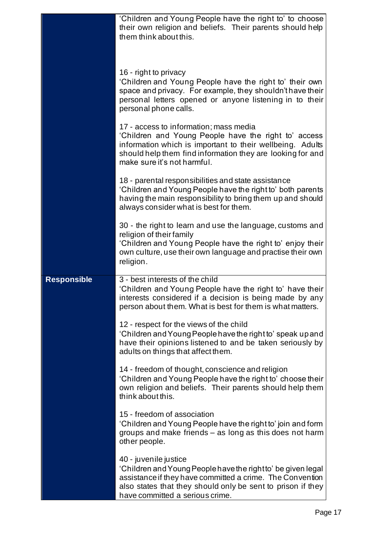|                    | 'Children and Young People have the right to' to choose<br>their own religion and beliefs. Their parents should help<br>them think about this.                                                                                                           |
|--------------------|----------------------------------------------------------------------------------------------------------------------------------------------------------------------------------------------------------------------------------------------------------|
|                    | 16 - right to privacy<br>'Children and Young People have the right to' their own<br>space and privacy. For example, they shouldn't have their<br>personal letters opened or anyone listening in to their<br>personal phone calls.                        |
|                    | 17 - access to information; mass media<br>'Children and Young People have the right to' access<br>information which is important to their wellbeing. Adults<br>should help them find information they are looking for and<br>make sure it's not harmful. |
|                    | 18 - parental responsibilities and state assistance<br>'Children and Young People have the right to' both parents<br>having the main responsibility to bring them up and should<br>always consider what is best for them.                                |
|                    | 30 - the right to learn and use the language, customs and<br>religion of their family<br>'Children and Young People have the right to' enjoy their<br>own culture, use their own language and practise their own<br>religion.                            |
| <b>Responsible</b> | 3 - best interests of the child<br>'Children and Young People have the right to' have their<br>interests considered if a decision is being made by any<br>person about them. What is best for them is what matters.                                      |
|                    | 12 - respect for the views of the child<br>'Children and Young People have the right to' speak up and<br>have their opinions listened to and be taken seriously by<br>adults on things that affect them.                                                 |
|                    | 14 - freedom of thought, conscience and religion<br>'Children and Young People have the right to' choose their<br>own religion and beliefs. Their parents should help them<br>think about this.                                                          |
|                    | 15 - freedom of association<br>'Children and Young People have the right to' join and form<br>groups and make friends – as long as this does not harm<br>other people.                                                                                   |
|                    | 40 - juvenile justice<br>'Children and Young People have the right to' be given legal<br>assistance if they have committed a crime. The Convention<br>also states that they should only be sent to prison if they<br>have committed a serious crime.     |